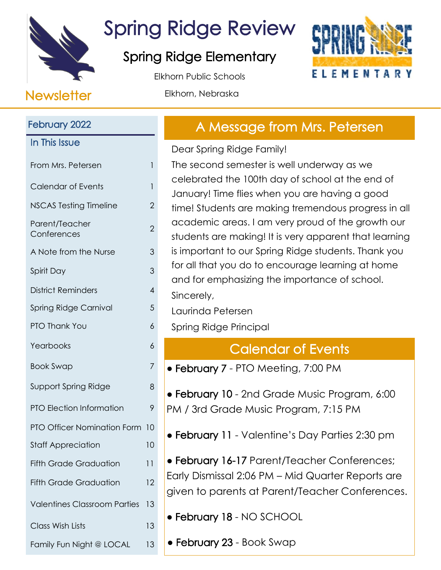

## Spring Ridge Review

### Spring Ridge Elementary

Elkhorn Public Schools



#### Newsletter Elkhorn, Nebraska

## February 2022 In This Issue From Mrs. Petersen 1 Calendar of Events 1 NSCAS Testing Timeline 2 Parent/Teacher r dienigreddier<br>Conferences 2 A Note from the Nurse 3 Spirit Day 3 District Reminders 4 Spring Ridge Carnival 5 PTO Thank You 6 Yearbooks 6 Book Swap 7 Support Spring Ridge 8 PTO Election Information 9 PTO Officer Nomination Form 10 Staff Appreciation 10 Fifth Grade Graduation 11 Fifth Grade Graduation 12 Valentines Classroom Parties 13 Class Wish Lists 13 Family Fun Night @ LOCAL 13

## A Message from Mrs. Petersen

Dear Spring Ridge Family!

The second semester is well underway as we celebrated the 100th day of school at the end of January! Time flies when you are having a good time! Students are making tremendous progress in all academic areas. I am very proud of the growth our students are making! It is very apparent that learning is important to our Spring Ridge students. Thank you for all that you do to encourage learning at home and for emphasizing the importance of school. Sincerely,

Laurinda Petersen

Spring Ridge Principal

## Calendar of Events

• February 7 - PTO Meeting, 7:00 PM

• February 10 - 2nd Grade Music Program, 6:00 PM / 3rd Grade Music Program, 7:15 PM

● February 11 - Valentine's Day Parties 2:30 pm

● February 16-17 Parent/Teacher Conferences; Early Dismissal 2:06 PM – Mid Quarter Reports are given to parents at Parent/Teacher Conferences.

● February 18 - NO SCHOOL

• February 23 - Book Swap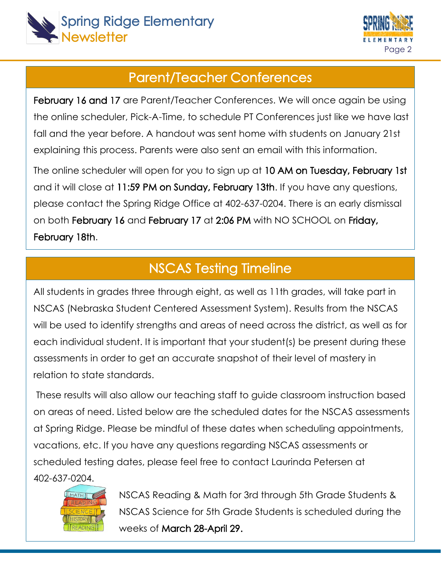



#### Parent/Teacher Conferences

February 16 and 17 are Parent/Teacher Conferences. We will once again be using the online scheduler, Pick-A-Time, to schedule PT Conferences just like we have last fall and the year before. A handout was sent home with students on January 21st explaining this process. Parents were also sent an email with this information.

The online scheduler will open for you to sign up at 10 AM on Tuesday, February 1st and it will close at 11:59 PM on Sunday, February 13th. If you have any questions, please contact the Spring Ridge Office at 402-637-0204. There is an early dismissal on both February 16 and February 17 at 2:06 PM with NO SCHOOL on Friday, February 18th.

#### NSCAS Testing Timeline

All students in grades three through eight, as well as 11th grades, will take part in NSCAS (Nebraska Student Centered Assessment System). Results from the NSCAS will be used to identify strengths and areas of need across the district, as well as for each individual student. It is important that your student(s) be present during these assessments in order to get an accurate snapshot of their level of mastery in relation to state standards.

These results will also allow our teaching staff to guide classroom instruction based on areas of need. Listed below are the scheduled dates for the NSCAS assessments at Spring Ridge. Please be mindful of these dates when scheduling appointments, vacations, etc. If you have any questions regarding NSCAS assessments or scheduled testing dates, please feel free to contact Laurinda Petersen at 402-637-0204.



**MATH CONDING A SEAS Reading & Math for 3rd through 5th Grade Students &**  NSCAS Science for 5th Grade Students is scheduled during the weeks of March 28-April 29.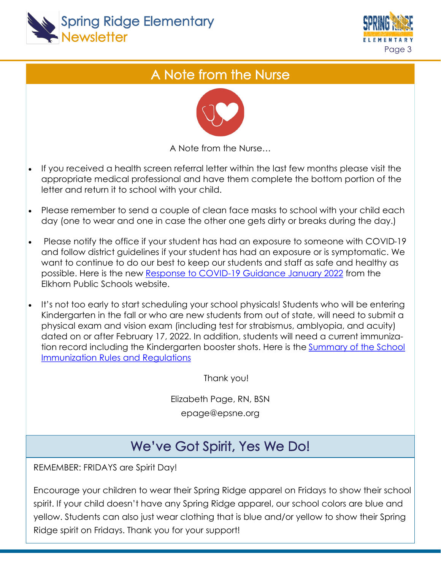



## A Note from the Nurse



A Note from the Nurse…

- If you received a health screen referral letter within the last few months please visit the appropriate medical professional and have them complete the bottom portion of the letter and return it to school with your child.
- Please remember to send a couple of clean face masks to school with your child each day (one to wear and one in case the other one gets dirty or breaks during the day.)
- Please notify the office if your student has had an exposure to someone with COVID-19 and follow district guidelines if your student has had an exposure or is symptomatic. We want to continue to do our best to keep our students and staff as safe and healthy as possible. Here is the new [Response to COVID-19 Guidance January 2022](https://docs.google.com/document/d/1MAEeCXVeT1pbpygJ0ssXGwtnIUdEBlwh2H6WLSuKIfI/edit) from the Elkhorn Public Schools website.
- It's not too early to start scheduling your school physicals! Students who will be entering Kindergarten in the fall or who are new students from out of state, will need to submit a physical exam and vision exam (including test for strabismus, amblyopia, and acuity) dated on or after February 17, 2022. In addition, students will need a current immunization record including the Kindergarten booster shots. Here is the [Summary of the School](https://dhhs.ne.gov/Immunization/School-Summary-RR-English.pdf)  [Immunization Rules and Regulations](https://dhhs.ne.gov/Immunization/School-Summary-RR-English.pdf)

Thank you!

Elizabeth Page, RN, BSN epage@epsne.org

## We've Got Spirit, Yes We Do!

REMEMBER: FRIDAYS are Spirit Day!

Encourage your children to wear their Spring Ridge apparel on Fridays to show their school spirit. If your child doesn't have any Spring Ridge apparel, our school colors are blue and yellow. Students can also just wear clothing that is blue and/or yellow to show their Spring Ridge spirit on Fridays. Thank you for your support!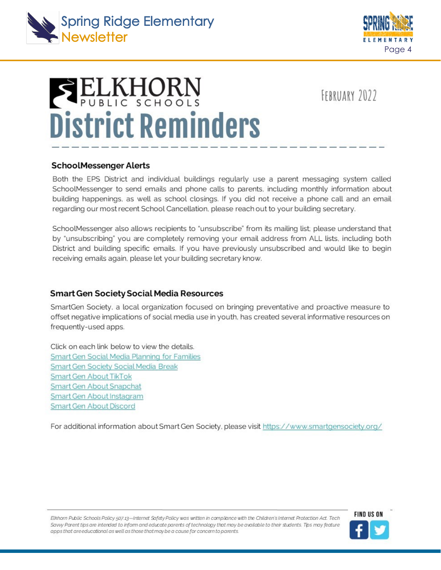



# **SELKHORN District Reminders**

FEBRUARY 2022

#### **SchoolMessenger Alerts**

Both the EPS District and individual buildings regularly use a parent messaging system called SchoolMessenger to send emails and phone calls to parents, including monthly information about building happenings, as well as school closings. If you did not receive a phone call and an email regarding our most recent School Cancellation, please reach out to your building secretary.

SchoolMessenger also allows recipients to "unsubscribe" from its mailing list; please understand that by "unsubscribing" you are completely removing your email address from ALL lists, including both District and building specific emails. If you have previously unsubscribed and would like to begin receiving emails again, please let your building secretary know.

#### **Smart Gen Society Social Media Resources**

SmartGen Society, a local organization focused on bringing preventative and proactive measure to offset negative implications of social media use in youth, has created several informative resources on frequently-used apps.

Click on each link below to view the details. Smart Gen Social Media Planning for Families Smart Gen Society Social Media Break **Smart Gen About TikTok** Smart Gen About Snapchat Smart Gen About Instagram Smart Gen About Discord

For additional information about Smart Gen Society, please visit https://www.smartgensociety.org/

Elkhorn Public Schools Policy 507.13-Internet Safety Policy was written in campliance with the Children's Internet Protection Act. Tech Sayy Parent tips are intended to inform and educate parents of technology that may be quailable to their students. This may feature apps that areeducational as well as those that may be a cause for concern to parents.

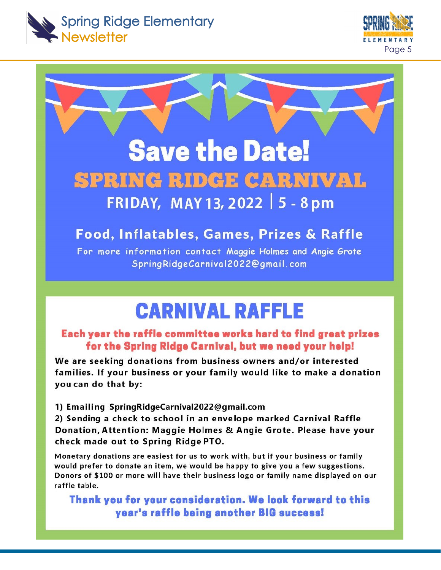



## **Save the Date!** SPRING RIDGE CARNIVAL FRIDAY, MAY 13, 2022 | 5 - 8 pm

#### Food, Inflatables, Games, Prizes & Raffle

For more information contact Maggie Holmes and Angie Grote SpringRidgeCarnival2022@gmail.com

## **CARNIVAL RAFFLE**

#### Each year the raffle committee works hard to find great prizes for the Spring Ridge Carnival, but we need your help!

We are seeking donations from business owners and/or interested families. If your business or your family would like to make a donation you can do that by:

1) Emailing SpringRidgeCarnival2022@gmail.com

2) Sending a check to school in an envelope marked Carnival Raffle Donation, Attention: Maggie Holmes & Angie Grote. Please have your check made out to Spring Ridge PTO.

Monetary donations are easiest for us to work with, but if your business or family would prefer to donate an item, we would be happy to give you a few suggestions. Donors of \$100 or more will have their business logo or family name displayed on our raffle table.

Thank you for your consideration. We look forward to this year's raffle being another BIG success!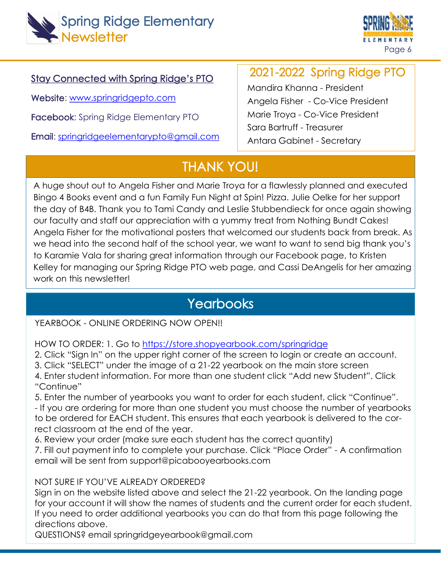



#### Stay Connected with Spring Ridge's PTO

Website: [www.springridgepto.com](http://www.springridgepto.com/)

Facebook: Spring Ridge Elementary PTO

Email: [springridgeelementarypto@gmail.com](mailto:springridgeelementarypto@gmail.com)

#### 2021-2022 Spring Ridge PTO

Mandira Khanna - President Angela Fisher - Co-Vice President Marie Troya - Co-Vice President Sara Bartruff - Treasurer Antara Gabinet - Secretary

### THANK YOU!

A huge shout out to Angela Fisher and Marie Troya for a flawlessly planned and executed Bingo 4 Books event and a fun Family Fun Night at Spin! Pizza. Julie Oelke for her support the day of B4B. Thank you to Tami Candy and Leslie Stubbendieck for once again showing our faculty and staff our appreciation with a yummy treat from Nothing Bundt Cakes! Angela Fisher for the motivational posters that welcomed our students back from break. As we head into the second half of the school year, we want to want to send big thank you's to Karamie Vala for sharing great information through our Facebook page, to Kristen Kelley for managing our Spring Ridge PTO web page, and Cassi DeAngelis for her amazing work on this newsletter!

#### **Yearbooks**

#### YEARBOOK - ONLINE ORDERING NOW OPEN!!

HOW TO ORDER: 1. Go to <https://store.shopyearbook.com/springridge>

2. Click "Sign In" on the upper right corner of the screen to login or create an account.

3. Click "SELECT" under the image of a 21-22 yearbook on the main store screen

4. Enter student information. For more than one student click "Add new Student". Click "Continue"

5. Enter the number of yearbooks you want to order for each student, click "Continue".

- If you are ordering for more than one student you must choose the number of yearbooks to be ordered for EACH student. This ensures that each yearbook is delivered to the correct classroom at the end of the year.

6. Review your order (make sure each student has the correct quantity)

7. Fill out payment info to complete your purchase. Click "Place Order" - A confirmation email will be sent from support@picabooyearbooks.com

#### NOT SURE IF YOU'VE ALREADY ORDERED?

Sign in on the website listed above and select the 21-22 yearbook. On the landing page for your account it will show the names of students and the current order for each student. If you need to order additional yearbooks you can do that from this page following the directions above.

QUESTIONS? email springridgeyearbook@gmail.com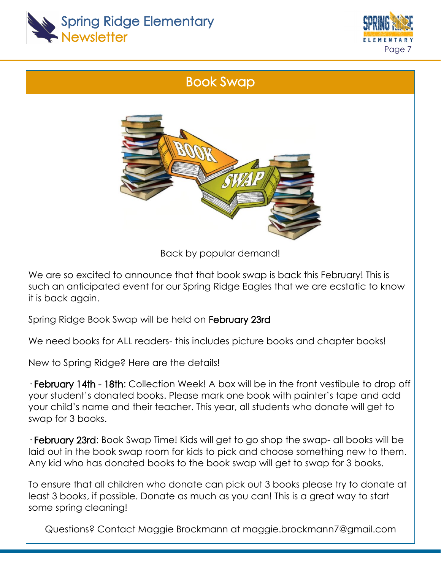



#### Book Swap



Back by popular demand!

We are so excited to announce that that book swap is back this February! This is such an anticipated event for our Spring Ridge Eagles that we are ecstatic to know it is back again.

Spring Ridge Book Swap will be held on February 23rd

We need books for ALL readers- this includes picture books and chapter books!

New to Spring Ridge? Here are the details!

· February 14th - 18th: Collection Week! A box will be in the front vestibule to drop off your student's donated books. Please mark one book with painter's tape and add your child's name and their teacher. This year, all students who donate will get to swap for 3 books.

· February 23rd: Book Swap Time! Kids will get to go shop the swap- all books will be laid out in the book swap room for kids to pick and choose something new to them. Any kid who has donated books to the book swap will get to swap for 3 books.

To ensure that all children who donate can pick out 3 books please try to donate at least 3 books, if possible. Donate as much as you can! This is a great way to start some spring cleaning!

Questions? Contact Maggie Brockmann at maggie.brockmann7@gmail.com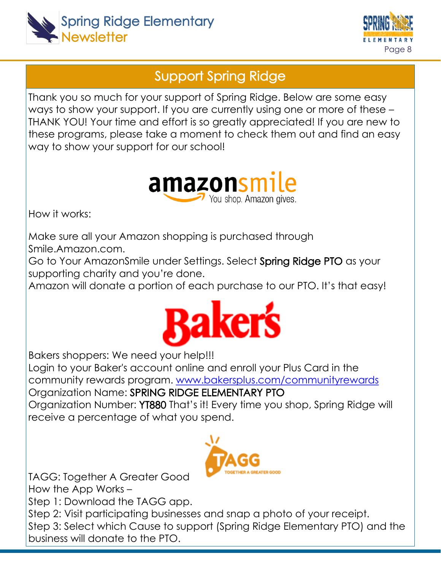



#### Support Spring Ridge

Thank you so much for your support of Spring Ridge. Below are some easy ways to show your support. If you are currently using one or more of these – THANK YOU! Your time and effort is so greatly appreciated! If you are new to these programs, please take a moment to check them out and find an easy way to show your support for our school!



How it works:

Make sure all your Amazon shopping is purchased through Smile.Amazon.com.

Go to Your AmazonSmile under Settings. Select Spring Ridge PTO as your supporting charity and you're done.

Amazon will donate a portion of each purchase to our PTO. It's that easy!



Bakers shoppers: We need your help!!!

Login to your Baker's account online and enroll your Plus Card in the community rewards program. [www.bakersplus.com/communityrewards](https://www.bakersplus.com/communityrewards)

Organization Name: SPRING RIDGE ELEMENTARY PTO Organization Number: YT880 That's it! Every time you shop, Spring Ridge will

receive a percentage of what you spend.



TAGG: Together A Greater Good How the App Works –

Step 1: Download the TAGG app.

Step 2: Visit participating businesses and snap a photo of your receipt. Step 3: Select which Cause to support (Spring Ridge Elementary PTO) and the business will donate to the PTO.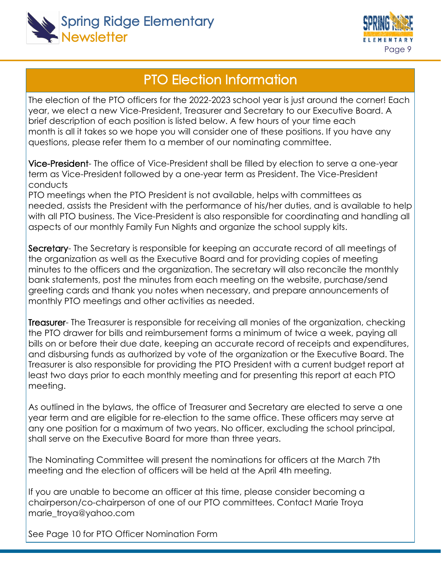



#### PTO Election Information

The election of the PTO officers for the 2022-2023 school year is just around the corner! Each year, we elect a new Vice-President, Treasurer and Secretary to our Executive Board. A brief description of each position is listed below. A few hours of your time each month is all it takes so we hope you will consider one of these positions. If you have any questions, please refer them to a member of our nominating committee.

Vice-President- The office of Vice-President shall be filled by election to serve a one-year term as Vice-President followed by a one-year term as President. The Vice-President conducts

PTO meetings when the PTO President is not available, helps with committees as needed, assists the President with the performance of his/her duties, and is available to help with all PTO business. The Vice-President is also responsible for coordinating and handling all aspects of our monthly Family Fun Nights and organize the school supply kits.

Secretary- The Secretary is responsible for keeping an accurate record of all meetings of the organization as well as the Executive Board and for providing copies of meeting minutes to the officers and the organization. The secretary will also reconcile the monthly bank statements, post the minutes from each meeting on the website, purchase/send greeting cards and thank you notes when necessary, and prepare announcements of monthly PTO meetings and other activities as needed.

**Treasurer-** The Treasurer is responsible for receiving all monies of the organization, checking the PTO drawer for bills and reimbursement forms a minimum of twice a week, paying all bills on or before their due date, keeping an accurate record of receipts and expenditures, and disbursing funds as authorized by vote of the organization or the Executive Board. The Treasurer is also responsible for providing the PTO President with a current budget report at least two days prior to each monthly meeting and for presenting this report at each PTO meeting.

As outlined in the bylaws, the office of Treasurer and Secretary are elected to serve a one year term and are eligible for re-election to the same office. These officers may serve at any one position for a maximum of two years. No officer, excluding the school principal, shall serve on the Executive Board for more than three years.

The Nominating Committee will present the nominations for officers at the March 7th meeting and the election of officers will be held at the April 4th meeting.

If you are unable to become an officer at this time, please consider becoming a chairperson/co-chairperson of one of our PTO committees. Contact Marie Troya marie\_troya@yahoo.com

See Page 10 for PTO Officer Nomination Form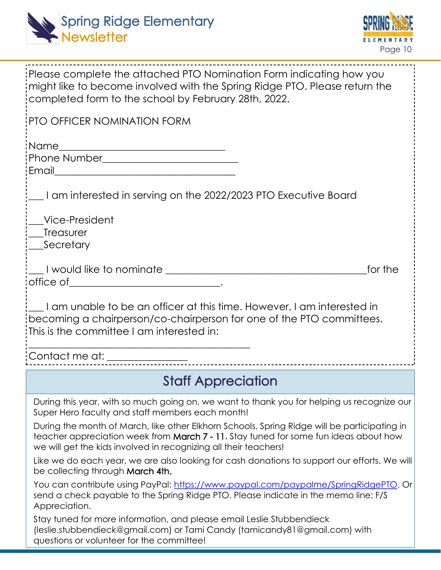



| Please complete the attached PTO Nomination Form indicating how you<br>might like to become involved with the Spring Ridge PTO. Please return the<br>completed form to the school by February 28th, 2022.                                                                                                                              |
|----------------------------------------------------------------------------------------------------------------------------------------------------------------------------------------------------------------------------------------------------------------------------------------------------------------------------------------|
| <b>PTO OFFICER NOMINATION FORM</b>                                                                                                                                                                                                                                                                                                     |
| :Name<br>Phone Number_______________________________                                                                                                                                                                                                                                                                                   |
| 1 am interested in serving on the 2022/2023 PTO Executive Board                                                                                                                                                                                                                                                                        |
| Vice-President<br>; Treasurer<br>_Secretary                                                                                                                                                                                                                                                                                            |
| __I would like to nominate __________________________________<br>for the                                                                                                                                                                                                                                                               |
| $\frac{1}{2}$ I am unable to be an officer at this time. However, I am interested in<br>becoming a chairperson/co-chairperson for one of the PTO committees.<br>This is the committee I am interested in:                                                                                                                              |
| : <del>Contact me at: ________________</del> ___                                                                                                                                                                                                                                                                                       |
| <b>Staff Appreciation</b>                                                                                                                                                                                                                                                                                                              |
| During this year, with so much going on, we want to thank you for helping us recognize our<br>Super Hero faculty and staff members each month!<br>During the month of March, like other Elkhorn Schools, Spring Ridge will be participating in<br>teacher appreciation week from March 7 - 11. Stay tuned for some fun ideas about how |
| we will get the kids involved in recognizing all their teachers!<br>Like we do each year, we are also looking for cash donations to support our efforts. We will<br>be collecting through March 4th.                                                                                                                                   |
| You can contribute using PayPal: https://www.paypal.com/paypalme/SpringRidgePTO. Or<br>send a check payable to the Spring Ridge PTO. Please indicate in the memo line: F/S<br>Appreciation.                                                                                                                                            |
| Stay tuned for more information, and please email Leslie Stubbendieck<br>(leslie.stubbendieck@gmail.com) or Tami Candy (tamicandy81@gmail.com) with<br>questions or volunteer for the committee!                                                                                                                                       |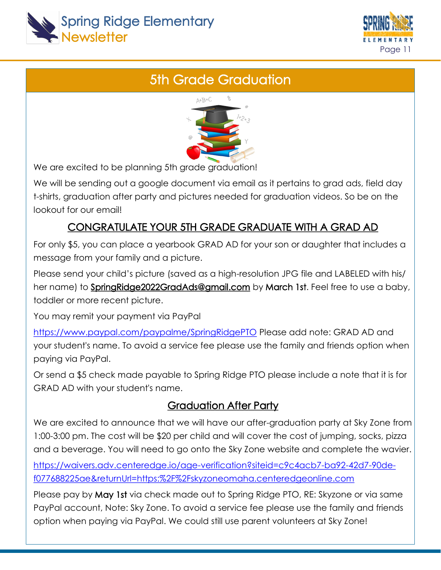



## 5th Grade Graduation



We are excited to be planning 5th grade graduation!

We will be sending out a google document via email as it pertains to grad ads, field day t-shirts, graduation after party and pictures needed for graduation videos. So be on the lookout for our email!

#### CONGRATULATE YOUR 5TH GRADE GRADUATE WITH A GRAD AD

For only \$5, you can place a yearbook GRAD AD for your son or daughter that includes a message from your family and a picture.

Please send your child's picture (saved as a high-resolution JPG file and LABELED with his/ her name) to Spring Ridge 2022 Grad Ads@gmail.com by March 1st. Feel free to use a baby, toddler or more recent picture.

You may remit your payment via PayPal

<https://www.paypal.com/paypalme/SpringRidgePTO> Please add note: GRAD AD and your student's name. To avoid a service fee please use the family and friends option when paying via PayPal.

Or send a \$5 check made payable to Spring Ridge PTO please include a note that it is for GRAD AD with your student's name.

#### Graduation After Party

We are excited to announce that we will have our after-graduation party at Sky Zone from 1:00-3:00 pm. The cost will be \$20 per child and will cover the cost of jumping, socks, pizza and a beverage. You will need to go onto the Sky Zone website and complete the wavier.

[https://waivers.adv.centeredge.io/age-verification?siteid=c9c4acb7-ba92-42d7-90de](https://waivers.adv.centeredge.io/age-verification?siteid=c9c4acb7-ba92-42d7-90de-f077688225ae&returnUrl=https:%2F%2Fskyzoneomaha.centeredgeonline.com)[f077688225ae&returnUrl=https:%2F%2Fskyzoneomaha.centeredgeonline.com](https://waivers.adv.centeredge.io/age-verification?siteid=c9c4acb7-ba92-42d7-90de-f077688225ae&returnUrl=https:%2F%2Fskyzoneomaha.centeredgeonline.com)

Please pay by May 1st via check made out to Spring Ridge PTO, RE: Skyzone or via same PayPal account, Note: Sky Zone. To avoid a service fee please use the family and friends option when paying via PayPal. We could still use parent volunteers at Sky Zone!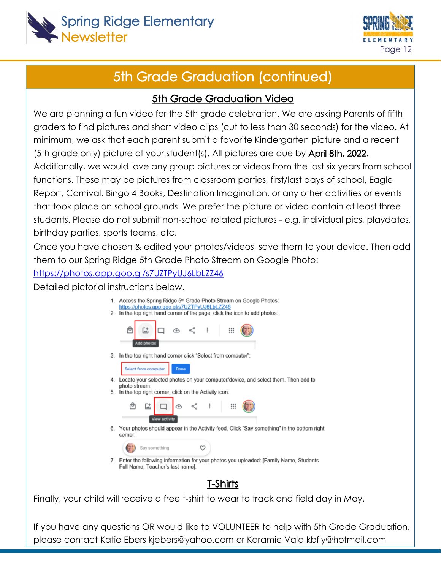



### 5th Grade Graduation (continued)

#### 5th Grade Graduation Video

We are planning a fun video for the 5th grade celebration. We are asking Parents of fifth graders to find pictures and short video clips (cut to less than 30 seconds) for the video. At minimum, we ask that each parent submit a favorite Kindergarten picture and a recent (5th grade only) picture of your student(s). All pictures are due by April 8th, 2022. Additionally, we would love any group pictures or videos from the last six years from school functions. These may be pictures from classroom parties, first/last days of school, Eagle Report, Carnival, Bingo 4 Books, Destination Imagination, or any other activities or events that took place on school grounds. We prefer the picture or video contain at least three students. Please do not submit non-school related pictures - e.g. individual pics, playdates, birthday parties, sports teams, etc.

Once you have chosen & edited your photos/videos, save them to your device. Then add them to our Spring Ridge 5th Grade Photo Stream on Google Photo:

<https://photos.app.goo.gl/s7UZTPyUJ6LbLZZ46>

Detailed pictorial instructions below.

|    | 1. Access the Spring Ridge 5 <sup>th</sup> Grade Photo Stream on Google Photos:<br>https://photos.app.goo.gl/s7UZTPyUJ6LbLZZ46 |
|----|--------------------------------------------------------------------------------------------------------------------------------|
| 2. | In the top right hand corner of the page, click the icon to add photos:                                                        |
|    | $\circledcirc$ $\leq$ :<br>⊞<br>陆                                                                                              |
|    | <b>Add photos</b>                                                                                                              |
| 3. | In the top right hand corner click "Select from computer":                                                                     |
|    | Select from computer<br>Done                                                                                                   |
|    | 4. Locate your selected photos on your computer/device, and select them. Then add to<br>photo stream.                          |
| 5. | In the top right corner, click on the Activity icon:                                                                           |
|    | ः<br>تما<br><b>View activity</b>                                                                                               |
|    |                                                                                                                                |
|    | 6. Your photos should appear in the Activity feed. Click "Say something" in the bottom right<br>corner:                        |
|    | m<br>Say something                                                                                                             |
|    | 7. Enter the following information for your photos you uploaded: [Family Name, Students<br>Full Name, Teacher's last name].    |
|    |                                                                                                                                |
|    |                                                                                                                                |

Finally, your child will receive a free t-shirt to wear to track and field day in May.

If you have any questions OR would like to VOLUNTEER to help with 5th Grade Graduation, please contact Katie Ebers kjebers@yahoo.com or Karamie Vala kbfly@hotmail.com